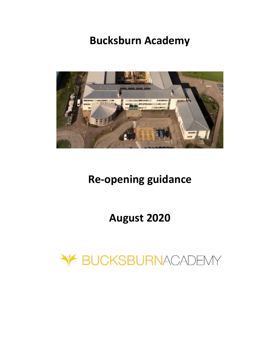# **Bucksburn Academy**



# **Re-opening guidance**

# **August 2020**

Y BUCKSBURNACADEMY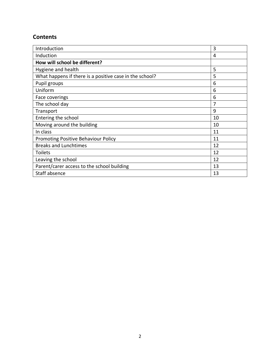# **Contents**

| Introduction                                            | 3  |
|---------------------------------------------------------|----|
| Induction                                               | 4  |
| How will school be different?                           |    |
| Hygiene and health                                      | 5  |
| What happens if there is a positive case in the school? | 5  |
| Pupil groups                                            | 6  |
| Uniform                                                 | 6  |
| Face coverings                                          | 6  |
| The school day                                          | 7  |
| Transport                                               | 9  |
| Entering the school                                     | 10 |
| Moving around the building                              | 10 |
| In class                                                | 11 |
| <b>Promoting Positive Behaviour Policy</b>              | 11 |
| <b>Breaks and Lunchtimes</b>                            | 12 |
| <b>Toilets</b>                                          | 12 |
| Leaving the school                                      | 12 |
| Parent/carer access to the school building              | 13 |
| Staff absence                                           | 13 |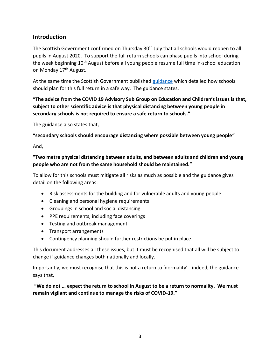# **Introduction**

The Scottish Government confirmed on Thursday 30<sup>th</sup> July that all schools would reopen to all pupils in August 2020. To support the full return schools can phase pupils into school during the week beginning 10<sup>th</sup> August before all young people resume full time in-school education on Monday 17<sup>th</sup> August.

At the same time the Scottish Government published [guidance](https://www.gov.scot/binaries/content/documents/govscot/publications/advice-and-guidance/2020/07/coronavirus-covid-19-guidance-preparing-start-new-school-term-august-2020/documents/coronavirus-covid-19-guidance-preparing-start-new-school-term-august-2020/coronavirus-covid-19-guidance-preparing-start-new-school-term-august-2020/govscot%3Adocument/coronavirus-covid-19-guidance-preparing-start-new-school-term-august-2020.pdf) which detailed how schools should plan for this full return in a safe way. The guidance states,

# **"The advice from the COVID 19 Advisory Sub Group on Education and Children's issues is that, subject to other scientific advice is that physical distancing between young people in secondary schools is not required to ensure a safe return to schools."**

The guidance also states that,

**"secondary schools should encourage distancing where possible between young people"** 

And,

## **"Two metre physical distancing between adults, and between adults and children and young people who are not from the same household should be maintained."**

To allow for this schools must mitigate all risks as much as possible and the guidance gives detail on the following areas:

- Risk assessments for the building and for vulnerable adults and young people
- Cleaning and personal hygiene requirements
- Groupings in school and social distancing
- PPE requirements, including face coverings
- Testing and outbreak management
- Transport arrangements
- Contingency planning should further restrictions be put in place.

This document addresses all these issues, but it must be recognised that all will be subject to change if guidance changes both nationally and locally.

Importantly, we must recognise that this is not a return to 'normality' - indeed, the guidance says that,

**"We do not … expect the return to school in August to be a return to normality. We must remain vigilant and continue to manage the risks of COVID-19."**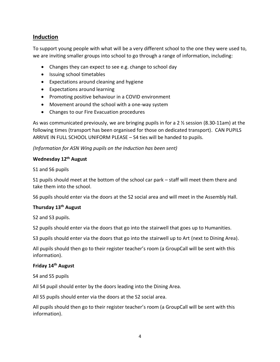# **Induction**

To support young people with what will be a very different school to the one they were used to, we are inviting smaller groups into school to go through a range of information, including:

- Changes they can expect to see e.g. change to school day
- Issuing school timetables
- Expectations around cleaning and hygiene
- Expectations around learning
- Promoting positive behaviour in a COVID environment
- Movement around the school with a one-way system
- Changes to our Fire Evacuation procedures

As was communicated previously, we are bringing pupils in for a 2 ½ session (8.30-11am) at the following times (transport has been organised for those on dedicated transport). CAN PUPILS ARRIVE IN FULL SCHOOL UNIFORM PLEASE – S4 ties will be handed to pupils.

## *(Information for ASN Wing pupils on the Induction has been sent)*

#### **Wednesday 12th August**

S1 and S6 pupils

S1 pupils should meet at the bottom of the school car park – staff will meet them there and take them into the school.

S6 pupils should enter via the doors at the S2 social area and will meet in the Assembly Hall.

## **Thursday 13th August**

S2 and S3 pupils.

S2 pupils should enter via the doors that go into the stairwell that goes up to Humanities.

S3 pupils should enter via the doors that go into the stairwell up to Art (next to Dining Area).

All pupils should then go to their register teacher's room (a GroupCall will be sent with this information).

#### **Friday 14th August**

S4 and S5 pupils

All S4 pupil should enter by the doors leading into the Dining Area.

All S5 pupils should enter via the doors at the S2 social area.

All pupils should then go to their register teacher's room (a GroupCall will be sent with this information).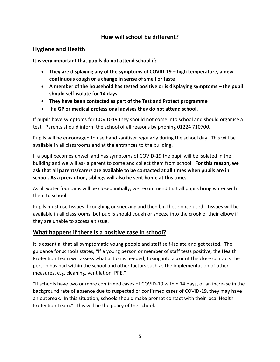# **How will school be different?**

## **Hygiene and Health**

**It is very important that pupils do not attend school if:**

- **They are displaying any of the symptoms of COVID-19 – high temperature, a new continuous cough or a change in sense of smell or taste**
- **A member of the household has tested positive or is displaying symptoms – the pupil should self-isolate for 14 days**
- **They have been contacted as part of the Test and Protect programme**
- **If a GP or medical professional advises they do not attend school.**

If pupils have symptoms for COVID-19 they should not come into school and should organise a test. Parents should inform the school of all reasons by phoning 01224 710700.

Pupils will be encouraged to use hand sanitiser regularly during the school day. This will be available in all classrooms and at the entrances to the building.

If a pupil becomes unwell and has symptoms of COVID-19 the pupil will be isolated in the building and we will ask a parent to come and collect them from school. **For this reason, we ask that all parents/carers are available to be contacted at all times when pupils are in school. As a precaution, siblings will also be sent home at this time.**

As all water fountains will be closed initially, we recommend that all pupils bring water with them to school.

Pupils must use tissues if coughing or sneezing and then bin these once used. Tissues will be available in all classrooms, but pupils should cough or sneeze into the crook of their elbow if they are unable to access a tissue.

# **What happens if there is a positive case in school?**

It is essential that all symptomatic young people and staff self-isolate and get tested. The guidance for schools states, "If a young person or member of staff tests positive, the Health Protection Team will assess what action is needed, taking into account the close contacts the person has had within the school and other factors such as the implementation of other measures, e.g. cleaning, ventilation, PPE."

"If schools have two or more confirmed cases of COVID-19 within 14 days, or an increase in the background rate of absence due to suspected or confirmed cases of COVID-19, they may have an outbreak. In this situation, schools should make prompt contact with their local Health Protection Team." This will be the policy of the school.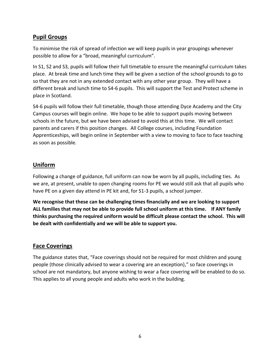# **Pupil Groups**

To minimise the risk of spread of infection we will keep pupils in year groupings whenever possible to allow for a "broad, meaningful curriculum".

In S1, S2 and S3, pupils will follow their full timetable to ensure the meaningful curriculum takes place. At break time and lunch time they will be given a section of the school grounds to go to so that they are not in any extended contact with any other year group. They will have a different break and lunch time to S4-6 pupils. This will support the Test and Protect scheme in place in Scotland.

S4-6 pupils will follow their full timetable, though those attending Dyce Academy and the City Campus courses will begin online. We hope to be able to support pupils moving between schools in the future, but we have been advised to avoid this at this time. We will contact parents and carers if this position changes. All College courses, including Foundation Apprenticeships, will begin online in September with a view to moving to face to face teaching as soon as possible.

# **Uniform**

Following a change of guidance, full uniform can now be worn by all pupils, including ties. As we are, at present, unable to open changing rooms for PE we would still ask that all pupils who have PE on a given day attend in PE kit and, for S1-3 pupils, a school jumper.

**We recognise that these can be challenging times financially and we are looking to support ALL families that may not be able to provide full school uniform at this time. If ANY family thinks purchasing the required uniform would be difficult please contact the school. This will be dealt with confidentially and we will be able to support you.**

# **Face Coverings**

The guidance states that, "Face coverings should not be required for most children and young people (those clinically advised to wear a covering are an exception)," so face coverings in school are not mandatory, but anyone wishing to wear a face covering will be enabled to do so. This applies to all young people and adults who work in the building.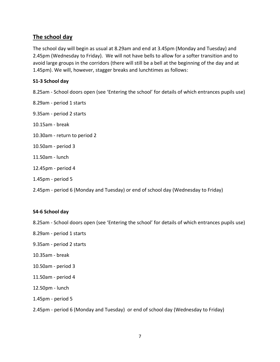## **The school day**

The school day will begin as usual at 8.29am and end at 3.45pm (Monday and Tuesday) and 2.45pm (Wednesday to Friday). We will not have bells to allow for a softer transition and to avoid large groups in the corridors (there will still be a bell at the beginning of the day and at 1.45pm). We will, however, stagger breaks and lunchtimes as follows:

### **S1-3 School day**

8.25am - School doors open (see 'Entering the school' for details of which entrances pupils use)

- 8.29am period 1 starts
- 9.35am period 2 starts
- 10.15am break
- 10.30am return to period 2
- 10.50am period 3
- 11.50am lunch
- 12.45pm period 4
- 1.45pm period 5
- 2.45pm period 6 (Monday and Tuesday) or end of school day (Wednesday to Friday)

#### **S4-6 School day**

8.25am - School doors open (see 'Entering the school' for details of which entrances pupils use)

- 8.29am period 1 starts
- 9.35am period 2 starts
- 10.35am break
- 10.50am period 3
- 11.50am period 4
- 12.50pm lunch
- 1.45pm period 5

2.45pm - period 6 (Monday and Tuesday) or end of school day (Wednesday to Friday)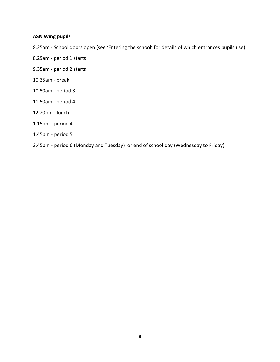### **ASN Wing pupils**

8.25am - School doors open (see 'Entering the school' for details of which entrances pupils use)

- 8.29am period 1 starts
- 9.35am period 2 starts
- 10.35am break
- 10.50am period 3
- 11.50am period 4
- 12.20pm lunch
- 1.15pm period 4
- 1.45pm period 5
- 2.45pm period 6 (Monday and Tuesday) or end of school day (Wednesday to Friday)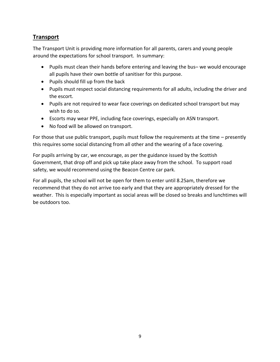# **Transport**

The Transport Unit is providing more information for all parents, carers and young people around the expectations for school transport. In summary:

- Pupils must clean their hands before entering and leaving the bus– we would encourage all pupils have their own bottle of sanitiser for this purpose.
- Pupils should fill up from the back
- Pupils must respect social distancing requirements for all adults, including the driver and the escort.
- Pupils are not required to wear face coverings on dedicated school transport but may wish to do so.
- Escorts may wear PPE, including face coverings, especially on ASN transport.
- No food will be allowed on transport.

For those that use public transport, pupils must follow the requirements at the time – presently this requires some social distancing from all other and the wearing of a face covering.

For pupils arriving by car, we encourage, as per the guidance issued by the Scottish Government, that drop off and pick up take place away from the school. To support road safety, we would recommend using the Beacon Centre car park.

For all pupils, the school will not be open for them to enter until 8.25am, therefore we recommend that they do not arrive too early and that they are appropriately dressed for the weather. This is especially important as social areas will be closed so breaks and lunchtimes will be outdoors too.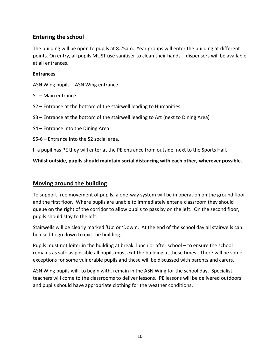# **Entering the school**

The building will be open to pupils at 8.25am. Year groups will enter the building at different points. On entry, all pupils MUST use sanitiser to clean their hands – dispensers will be available at all entrances.

#### **Entrances**

ASN Wing pupils – ASN Wing entrance

- S1 Main entrance
- S2 Entrance at the bottom of the stairwell leading to Humanities
- S3 Entrance at the bottom of the stairwell leading to Art (next to Dining Area)
- S4 Entrance into the Dining Area
- S5-6 Entrance into the S2 social area.

If a pupil has PE they will enter at the PE entrance from outside, next to the Sports Hall.

**Whilst outside, pupils should maintain social distancing with each other, wherever possible.**

## **Moving around the building**

To support free movement of pupils, a one-way system will be in operation on the ground floor and the first floor. Where pupils are unable to immediately enter a classroom they should queue on the right of the corridor to allow pupils to pass by on the left. On the second floor, pupils should stay to the left.

Stairwells will be clearly marked 'Up' or 'Down'. At the end of the school day all stairwells can be used to go down to exit the building.

Pupils must not loiter in the building at break, lunch or after school – to ensure the school remains as safe as possible all pupils must exit the building at these times. There will be some exceptions for some vulnerable pupils and these will be discussed with parents and carers.

ASN Wing pupils will, to begin with, remain in the ASN Wing for the school day. Specialist teachers will come to the classrooms to deliver lessons. PE lessons will be delivered outdoors and pupils should have appropriate clothing for the weather conditions.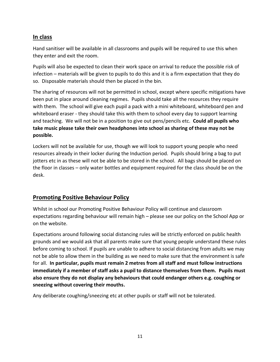# **In class**

Hand sanitiser will be available in all classrooms and pupils will be required to use this when they enter and exit the room.

Pupils will also be expected to clean their work space on arrival to reduce the possible risk of infection – materials will be given to pupils to do this and it is a firm expectation that they do so. Disposable materials should then be placed in the bin.

The sharing of resources will not be permitted in school, except where specific mitigations have been put in place around cleaning regimes. Pupils should take all the resources they require with them. The school will give each pupil a pack with a mini whiteboard, whiteboard pen and whiteboard eraser - they should take this with them to school every day to support learning and teaching. We will not be in a position to give out pens/pencils etc. **Could all pupils who take music please take their own headphones into school as sharing of these may not be possible.**

Lockers will not be available for use, though we will look to support young people who need resources already in their locker during the Induction period. Pupils should bring a bag to put jotters etc in as these will not be able to be stored in the school. All bags should be placed on the floor in classes – only water bottles and equipment required for the class should be on the desk.

# **Promoting Positive Behaviour Policy**

Whilst in school our Promoting Positive Behaviour Policy will continue and classroom expectations regarding behaviour will remain high – please see our policy on the School App or on the website.

Expectations around following social distancing rules will be strictly enforced on public health grounds and we would ask that all parents make sure that young people understand these rules before coming to school. If pupils are unable to adhere to social distancing from adults we may not be able to allow them in the building as we need to make sure that the environment is safe for all. **In particular, pupils must remain 2 metres from all staff and must follow instructions immediately if a member of staff asks a pupil to distance themselves from them. Pupils must also ensure they do not display any behaviours that could endanger others e.g. coughing or sneezing without covering their mouths.**

Any deliberate coughing/sneezing etc at other pupils or staff will not be tolerated.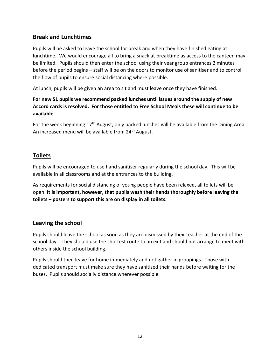# **Break and Lunchtimes**

Pupils will be asked to leave the school for break and when they have finished eating at lunchtime. We would encourage all to bring a snack at breaktime as access to the canteen may be limited. Pupils should then enter the school using their year group entrances 2 minutes before the period begins – staff will be on the doors to monitor use of sanitiser and to control the flow of pupils to ensure social distancing where possible.

At lunch, pupils will be given an area to sit and must leave once they have finished.

## **For new S1 pupils we recommend packed lunches until issues around the supply of new Accord cards is resolved. For those entitled to Free School Meals these will continue to be available.**

For the week beginning  $17<sup>th</sup>$  August, only packed lunches will be available from the Dining Area. An increased menu will be available from 24<sup>th</sup> August.

# **Toilets**

Pupils will be encouraged to use hand sanitiser regularly during the school day. This will be available in all classrooms and at the entrances to the building.

As requirements for social distancing of young people have been relaxed, all toilets will be open. **It is important, however, that pupils wash their hands thoroughly before leaving the toilets – posters to support this are on display in all toilets.**

# **Leaving the school**

Pupils should leave the school as soon as they are dismissed by their teacher at the end of the school day. They should use the shortest route to an exit and should not arrange to meet with others inside the school building.

Pupils should then leave for home immediately and not gather in groupings. Those with dedicated transport must make sure they have sanitised their hands before waiting for the buses. Pupils should socially distance wherever possible.